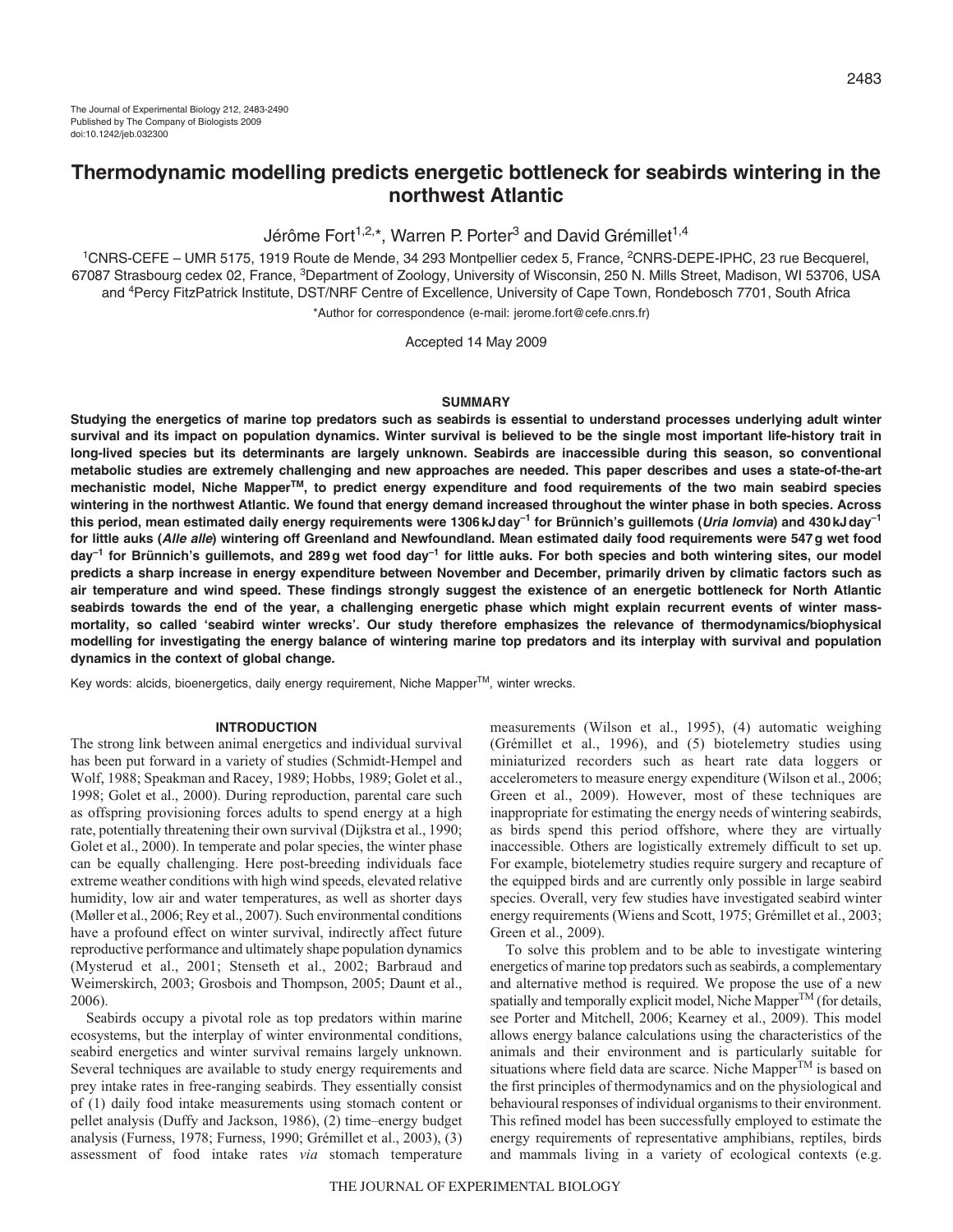# **Thermodynamic modelling predicts energetic bottleneck for seabirds wintering in the northwest Atlantic**

# Jérôme Fort<sup>1,2,\*</sup>, Warren P. Porter<sup>3</sup> and David Grémillet<sup>1,4</sup>

1CNRS-CEFE – UMR 5175, 1919 Route de Mende, 34 293 Montpellier cedex 5, France, 2CNRS-DEPE-IPHC, 23 rue Becquerel, 67087 Strasbourg cedex 02, France, <sup>3</sup>Department of Zoology, University of Wisconsin, 250 N. Mills Street, Madison, WI 53706, USA and 4Percy FitzPatrick Institute, DST/NRF Centre of Excellence, University of Cape Town, Rondebosch 7701, South Africa \*Author for correspondence (e-mail: jerome.fort@cefe.cnrs.fr)

Accepted 14 May 2009

#### **SUMMARY**

**Studying the energetics of marine top predators such as seabirds is essential to understand processes underlying adult winter survival and its impact on population dynamics. Winter survival is believed to be the single most important life-history trait in long-lived species but its determinants are largely unknown. Seabirds are inaccessible during this season, so conventional metabolic studies are extremely challenging and new approaches are needed. This paper describes and uses a state-of-the-art mechanistic model, Niche MapperTM, to predict energy expenditure and food requirements of the two main seabird species wintering in the northwest Atlantic. We found that energy demand increased throughout the winter phase in both species. Across this period, mean estimated daily energy requirements were 1306kJday–1 for Brünnich's guillemots (Uria lomvia) and 430kJday–1 for little auks (Alle alle) wintering off Greenland and Newfoundland. Mean estimated daily food requirements were 547g wet food day–1 for Brünnich's guillemots, and 289g wet food day–1 for little auks. For both species and both wintering sites, our model predicts a sharp increase in energy expenditure between November and December, primarily driven by climatic factors such as air temperature and wind speed. These findings strongly suggest the existence of an energetic bottleneck for North Atlantic seabirds towards the end of the year, a challenging energetic phase which might explain recurrent events of winter massmortality, so called 'seabird winter wrecks'. Our study therefore emphasizes the relevance of thermodynamics/biophysical modelling for investigating the energy balance of wintering marine top predators and its interplay with survival and population dynamics in the context of global change.**

Key words: alcids, bioenergetics, daily energy requirement, Niche Mapper<sup>™</sup>, winter wrecks.

#### **INTRODUCTION**

The strong link between animal energetics and individual survival has been put forward in a variety of studies (Schmidt-Hempel and Wolf, 1988; Speakman and Racey, 1989; Hobbs, 1989; Golet et al., 1998; Golet et al., 2000). During reproduction, parental care such as offspring provisioning forces adults to spend energy at a high rate, potentially threatening their own survival (Dijkstra et al., 1990; Golet et al., 2000). In temperate and polar species, the winter phase can be equally challenging. Here post-breeding individuals face extreme weather conditions with high wind speeds, elevated relative humidity, low air and water temperatures, as well as shorter days (Møller et al., 2006; Rey et al., 2007). Such environmental conditions have a profound effect on winter survival, indirectly affect future reproductive performance and ultimately shape population dynamics (Mysterud et al., 2001; Stenseth et al., 2002; Barbraud and Weimerskirch, 2003; Grosbois and Thompson, 2005; Daunt et al., 2006).

Seabirds occupy a pivotal role as top predators within marine ecosystems, but the interplay of winter environmental conditions, seabird energetics and winter survival remains largely unknown. Several techniques are available to study energy requirements and prey intake rates in free-ranging seabirds. They essentially consist of (1) daily food intake measurements using stomach content or pellet analysis (Duffy and Jackson, 1986), (2) time–energy budget analysis (Furness, 1978; Furness, 1990; Grémillet et al., 2003), (3) assessment of food intake rates *via* stomach temperature

measurements (Wilson et al., 1995), (4) automatic weighing (Grémillet et al., 1996), and (5) biotelemetry studies using miniaturized recorders such as heart rate data loggers or accelerometers to measure energy expenditure (Wilson et al., 2006; Green et al., 2009). However, most of these techniques are inappropriate for estimating the energy needs of wintering seabirds, as birds spend this period offshore, where they are virtually inaccessible. Others are logistically extremely difficult to set up. For example, biotelemetry studies require surgery and recapture of the equipped birds and are currently only possible in large seabird species. Overall, very few studies have investigated seabird winter energy requirements (Wiens and Scott, 1975; Grémillet et al., 2003; Green et al., 2009).

To solve this problem and to be able to investigate wintering energetics of marine top predators such as seabirds, a complementary and alternative method is required. We propose the use of a new spatially and temporally explicit model, Niche Mapper<sup>TM</sup> (for details, see Porter and Mitchell, 2006; Kearney et al., 2009). This model allows energy balance calculations using the characteristics of the animals and their environment and is particularly suitable for situations where field data are scarce. Niche Mapper<sup>TM</sup> is based on the first principles of thermodynamics and on the physiological and behavioural responses of individual organisms to their environment. This refined model has been successfully employed to estimate the energy requirements of representative amphibians, reptiles, birds and mammals living in a variety of ecological contexts (e.g.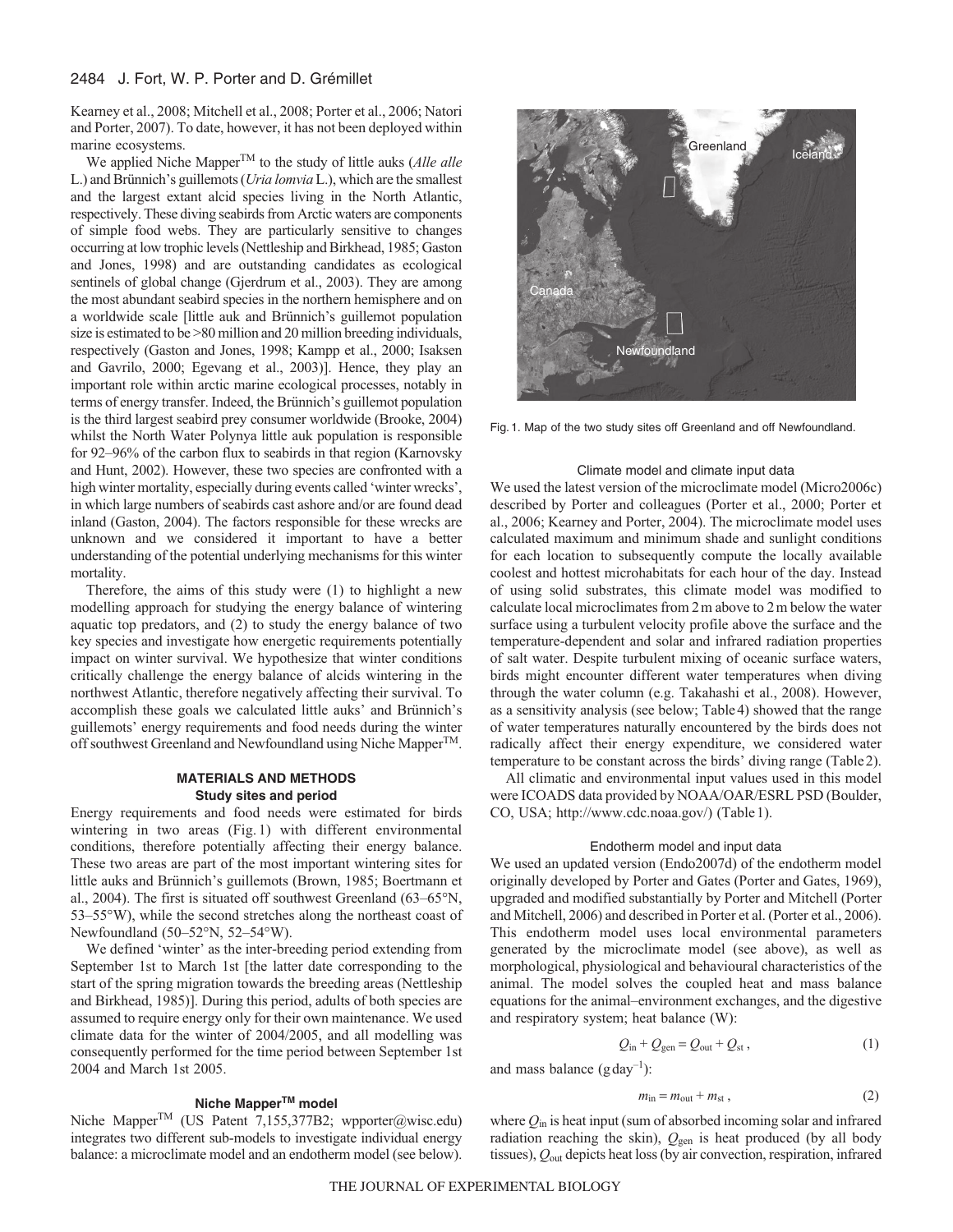## 2484 J. Fort, W. P. Porter and D. Grémillet

Kearney et al., 2008; Mitchell et al., 2008; Porter et al., 2006; Natori and Porter, 2007). To date, however, it has not been deployed within marine ecosystems.

We applied Niche MapperTM to the study of little auks (*Alle alle* L.) and Brünnich's guillemots (*Uria lomvia* L.), which are the smallest and the largest extant alcid species living in the North Atlantic, respectively. These diving seabirds from Arctic waters are components of simple food webs. They are particularly sensitive to changes occurring at low trophic levels (Nettleship and Birkhead, 1985; Gaston and Jones, 1998) and are outstanding candidates as ecological sentinels of global change (Gjerdrum et al., 2003). They are among the most abundant seabird species in the northern hemisphere and on a worldwide scale [little auk and Brünnich's guillemot population size is estimated to be >80 million and 20 million breeding individuals, respectively (Gaston and Jones, 1998; Kampp et al., 2000; Isaksen and Gavrilo, 2000; Egevang et al., 2003)]. Hence, they play an important role within arctic marine ecological processes, notably in terms of energy transfer. Indeed, the Brünnich's guillemot population is the third largest seabird prey consumer worldwide (Brooke, 2004) whilst the North Water Polynya little auk population is responsible for 92–96% of the carbon flux to seabirds in that region (Karnovsky and Hunt, 2002). However, these two species are confronted with a high winter mortality, especially during events called 'winter wrecks', in which large numbers of seabirds cast ashore and/or are found dead inland (Gaston, 2004). The factors responsible for these wrecks are unknown and we considered it important to have a better understanding of the potential underlying mechanisms for this winter mortality.

Therefore, the aims of this study were (1) to highlight a new modelling approach for studying the energy balance of wintering aquatic top predators, and (2) to study the energy balance of two key species and investigate how energetic requirements potentially impact on winter survival. We hypothesize that winter conditions critically challenge the energy balance of alcids wintering in the northwest Atlantic, therefore negatively affecting their survival. To accomplish these goals we calculated little auks' and Brünnich's guillemots' energy requirements and food needs during the winter off southwest Greenland and Newfoundland using Niche Mapper<sup>TM</sup>.

## **MATERIALS AND METHODS Study sites and period**

Energy requirements and food needs were estimated for birds wintering in two areas (Fig. 1) with different environmental conditions, therefore potentially affecting their energy balance. These two areas are part of the most important wintering sites for little auks and Brünnich's guillemots (Brown, 1985; Boertmann et al., 2004). The first is situated off southwest Greenland (63–65°N, 53–55°W), while the second stretches along the northeast coast of Newfoundland (50–52°N, 52–54°W).

We defined 'winter' as the inter-breeding period extending from September 1st to March 1st [the latter date corresponding to the start of the spring migration towards the breeding areas (Nettleship and Birkhead, 1985)]. During this period, adults of both species are assumed to require energy only for their own maintenance. We used climate data for the winter of 2004/2005, and all modelling was consequently performed for the time period between September 1st 2004 and March 1st 2005.

## **Niche MapperTM model**

Niche Mapper™ (US Patent 7,155,377B2; wpporter@wisc.edu) integrates two different sub-models to investigate individual energy balance: a microclimate model and an endotherm model (see below).



Fig. 1. Map of the two study sites off Greenland and off Newfoundland.

#### Climate model and climate input data

We used the latest version of the microclimate model (Micro2006c) described by Porter and colleagues (Porter et al., 2000; Porter et al., 2006; Kearney and Porter, 2004). The microclimate model uses calculated maximum and minimum shade and sunlight conditions for each location to subsequently compute the locally available coolest and hottest microhabitats for each hour of the day. Instead of using solid substrates, this climate model was modified to calculate local microclimates from 2m above to 2m below the water surface using a turbulent velocity profile above the surface and the temperature-dependent and solar and infrared radiation properties of salt water. Despite turbulent mixing of oceanic surface waters, birds might encounter different water temperatures when diving through the water column (e.g. Takahashi et al., 2008). However, as a sensitivity analysis (see below; Table4) showed that the range of water temperatures naturally encountered by the birds does not radically affect their energy expenditure, we considered water temperature to be constant across the birds' diving range (Table2).

All climatic and environmental input values used in this model were ICOADS data provided by NOAA/OAR/ESRL PSD (Boulder, CO, USA; http://www.cdc.noaa.gov/) (Table1).

#### Endotherm model and input data

We used an updated version (Endo2007d) of the endotherm model originally developed by Porter and Gates (Porter and Gates, 1969), upgraded and modified substantially by Porter and Mitchell (Porter and Mitchell, 2006) and described in Porter et al. (Porter et al., 2006). This endotherm model uses local environmental parameters generated by the microclimate model (see above), as well as morphological, physiological and behavioural characteristics of the animal. The model solves the coupled heat and mass balance equations for the animal–environment exchanges, and the digestive and respiratory system; heat balance (W):

$$
Q_{\rm in} + Q_{\rm gen} = Q_{\rm out} + Q_{\rm st} \,, \tag{1}
$$

and mass balance  $(g \, day^{-1})$ :

$$
m_{\rm in} = m_{\rm out} + m_{\rm st} \,,\tag{2}
$$

where *Q*in is heat input (sum of absorbed incoming solar and infrared radiation reaching the skin),  $Q_{gen}$  is heat produced (by all body tissues), *Q*out depicts heat loss (by air convection, respiration, infrared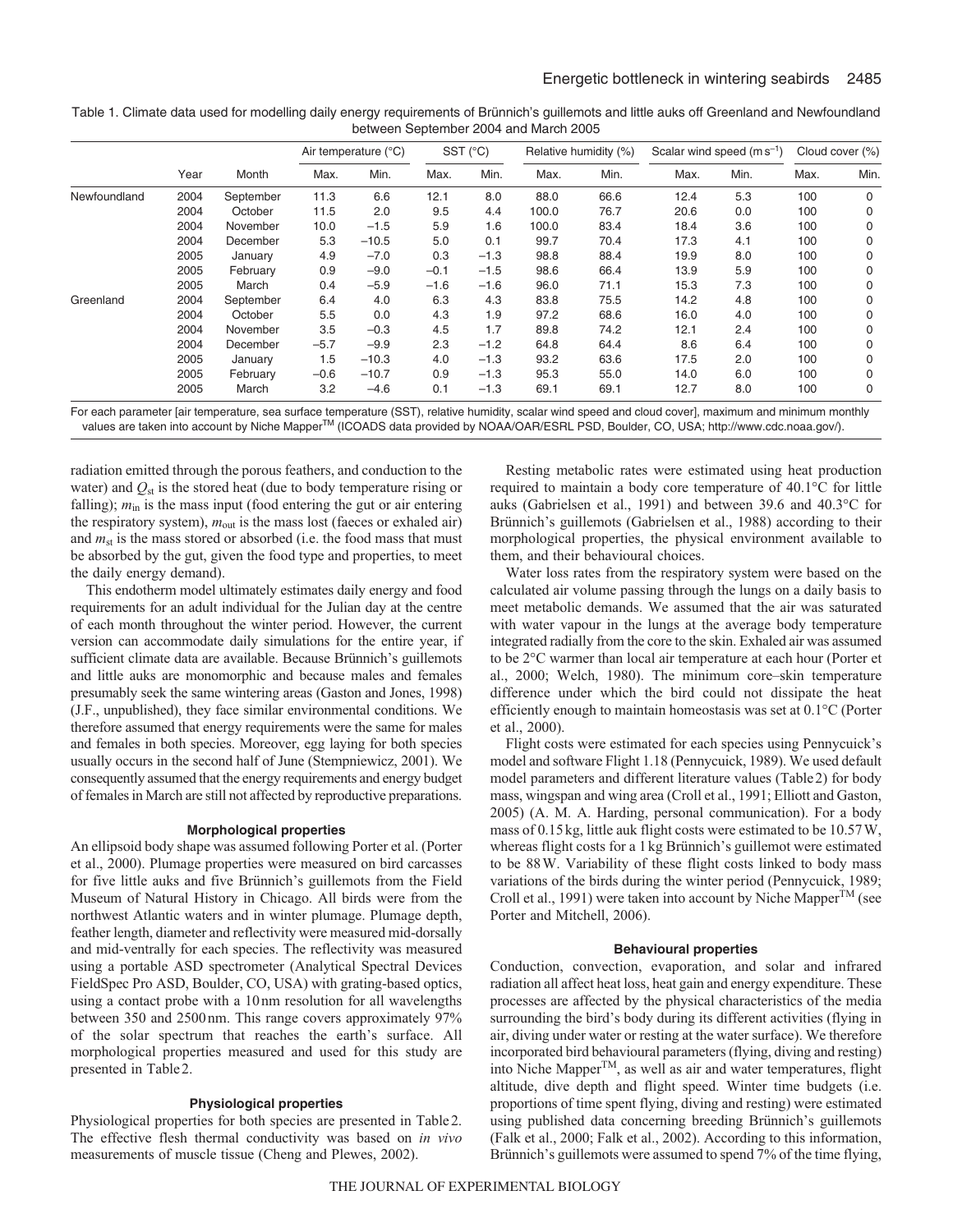|              |      | Month     | Air temperature (°C) |         | $SST$ ( $^{\circ}C$ ) |        | Relative humidity (%) |      | Scalar wind speed $(m s^{-1})$ |      | Cloud cover (%) |             |
|--------------|------|-----------|----------------------|---------|-----------------------|--------|-----------------------|------|--------------------------------|------|-----------------|-------------|
|              | Year |           | Max.                 | Min.    | Max.                  | Min.   | Max.                  | Min. | Max.                           | Min. | Max.            | Min.        |
| Newfoundland | 2004 | September | 11.3                 | 6.6     | 12.1                  | 8.0    | 88.0                  | 66.6 | 12.4                           | 5.3  | 100             | 0           |
|              | 2004 | October   | 11.5                 | 2.0     | 9.5                   | 4.4    | 100.0                 | 76.7 | 20.6                           | 0.0  | 100             | 0           |
|              | 2004 | November  | 10.0                 | $-1.5$  | 5.9                   | 1.6    | 100.0                 | 83.4 | 18.4                           | 3.6  | 100             | 0           |
|              | 2004 | December  | 5.3                  | $-10.5$ | 5.0                   | 0.1    | 99.7                  | 70.4 | 17.3                           | 4.1  | 100             | 0           |
|              | 2005 | January   | 4.9                  | $-7.0$  | 0.3                   | $-1.3$ | 98.8                  | 88.4 | 19.9                           | 8.0  | 100             | 0           |
|              | 2005 | February  | 0.9                  | $-9.0$  | $-0.1$                | $-1.5$ | 98.6                  | 66.4 | 13.9                           | 5.9  | 100             | 0           |
|              | 2005 | March     | 0.4                  | $-5.9$  | $-1.6$                | $-1.6$ | 96.0                  | 71.1 | 15.3                           | 7.3  | 100             | 0           |
| Greenland    | 2004 | September | 6.4                  | 4.0     | 6.3                   | 4.3    | 83.8                  | 75.5 | 14.2                           | 4.8  | 100             | 0           |
|              | 2004 | October   | 5.5                  | 0.0     | 4.3                   | 1.9    | 97.2                  | 68.6 | 16.0                           | 4.0  | 100             | $\mathbf 0$ |
|              | 2004 | November  | 3.5                  | $-0.3$  | 4.5                   | 1.7    | 89.8                  | 74.2 | 12.1                           | 2.4  | 100             | 0           |
|              | 2004 | December  | $-5.7$               | $-9.9$  | 2.3                   | $-1.2$ | 64.8                  | 64.4 | 8.6                            | 6.4  | 100             | 0           |
|              | 2005 | January   | 1.5                  | $-10.3$ | 4.0                   | $-1.3$ | 93.2                  | 63.6 | 17.5                           | 2.0  | 100             | 0           |
|              | 2005 | February  | $-0.6$               | $-10.7$ | 0.9                   | $-1.3$ | 95.3                  | 55.0 | 14.0                           | 6.0  | 100             | 0           |
|              | 2005 | March     | 3.2                  | $-4.6$  | 0.1                   | $-1.3$ | 69.1                  | 69.1 | 12.7                           | 8.0  | 100             | 0           |

Table 1. Climate data used for modelling daily energy requirements of Brünnich's guillemots and little auks off Greenland and Newfoundland between September 2004 and March 2005

For each parameter [air temperature, sea surface temperature (SST), relative humidity, scalar wind speed and cloud cover], maximum and minimum monthly values are taken into account by Niche MapperTM (ICOADS data provided by NOAA/OAR/ESRL PSD, Boulder, CO, USA; http://www.cdc.noaa.gov/).

radiation emitted through the porous feathers, and conduction to the water) and  $Q_{st}$  is the stored heat (due to body temperature rising or falling);  $m_{\text{in}}$  is the mass input (food entering the gut or air entering the respiratory system),  $m_{\text{out}}$  is the mass lost (faeces or exhaled air) and  $m_{st}$  is the mass stored or absorbed (i.e. the food mass that must be absorbed by the gut, given the food type and properties, to meet the daily energy demand).

This endotherm model ultimately estimates daily energy and food requirements for an adult individual for the Julian day at the centre of each month throughout the winter period. However, the current version can accommodate daily simulations for the entire year, if sufficient climate data are available. Because Brünnich's guillemots and little auks are monomorphic and because males and females presumably seek the same wintering areas (Gaston and Jones, 1998) (J.F., unpublished), they face similar environmental conditions. We therefore assumed that energy requirements were the same for males and females in both species. Moreover, egg laying for both species usually occurs in the second half of June (Stempniewicz, 2001). We consequently assumed that the energy requirements and energy budget of females in March are still not affected by reproductive preparations.

#### **Morphological properties**

An ellipsoid body shape was assumed following Porter et al. (Porter et al., 2000). Plumage properties were measured on bird carcasses for five little auks and five Brünnich's guillemots from the Field Museum of Natural History in Chicago. All birds were from the northwest Atlantic waters and in winter plumage. Plumage depth, feather length, diameter and reflectivity were measured mid-dorsally and mid-ventrally for each species. The reflectivity was measured using a portable ASD spectrometer (Analytical Spectral Devices FieldSpec Pro ASD, Boulder, CO, USA) with grating-based optics, using a contact probe with a 10nm resolution for all wavelengths between 350 and 2500nm. This range covers approximately 97% of the solar spectrum that reaches the earth's surface. All morphological properties measured and used for this study are presented in Table2.

## **Physiological properties**

Physiological properties for both species are presented in Table2. The effective flesh thermal conductivity was based on *in vivo* measurements of muscle tissue (Cheng and Plewes, 2002).

Resting metabolic rates were estimated using heat production required to maintain a body core temperature of 40.1°C for little auks (Gabrielsen et al., 1991) and between 39.6 and 40.3°C for Brünnich's guillemots (Gabrielsen et al., 1988) according to their morphological properties, the physical environment available to them, and their behavioural choices.

Water loss rates from the respiratory system were based on the calculated air volume passing through the lungs on a daily basis to meet metabolic demands. We assumed that the air was saturated with water vapour in the lungs at the average body temperature integrated radially from the core to the skin. Exhaled air was assumed to be 2°C warmer than local air temperature at each hour (Porter et al., 2000; Welch, 1980). The minimum core–skin temperature difference under which the bird could not dissipate the heat efficiently enough to maintain homeostasis was set at 0.1°C (Porter et al., 2000).

Flight costs were estimated for each species using Pennycuick's model and software Flight 1.18 (Pennycuick, 1989). We used default model parameters and different literature values (Table2) for body mass, wingspan and wing area (Croll et al., 1991; Elliott and Gaston, 2005) (A. M. A. Harding, personal communication). For a body mass of 0.15kg, little auk flight costs were estimated to be 10.57W, whereas flight costs for a 1kg Brünnich's guillemot were estimated to be 88W. Variability of these flight costs linked to body mass variations of the birds during the winter period (Pennycuick, 1989; Croll et al., 1991) were taken into account by Niche Mapper<sup>TM</sup> (see Porter and Mitchell, 2006).

## **Behavioural properties**

Conduction, convection, evaporation, and solar and infrared radiation all affect heat loss, heat gain and energy expenditure. These processes are affected by the physical characteristics of the media surrounding the bird's body during its different activities (flying in air, diving under water or resting at the water surface). We therefore incorporated bird behavioural parameters (flying, diving and resting) into Niche MapperTM, as well as air and water temperatures, flight altitude, dive depth and flight speed. Winter time budgets (i.e. proportions of time spent flying, diving and resting) were estimated using published data concerning breeding Brünnich's guillemots (Falk et al., 2000; Falk et al., 2002). According to this information, Brünnich's guillemots were assumed to spend 7% of the time flying,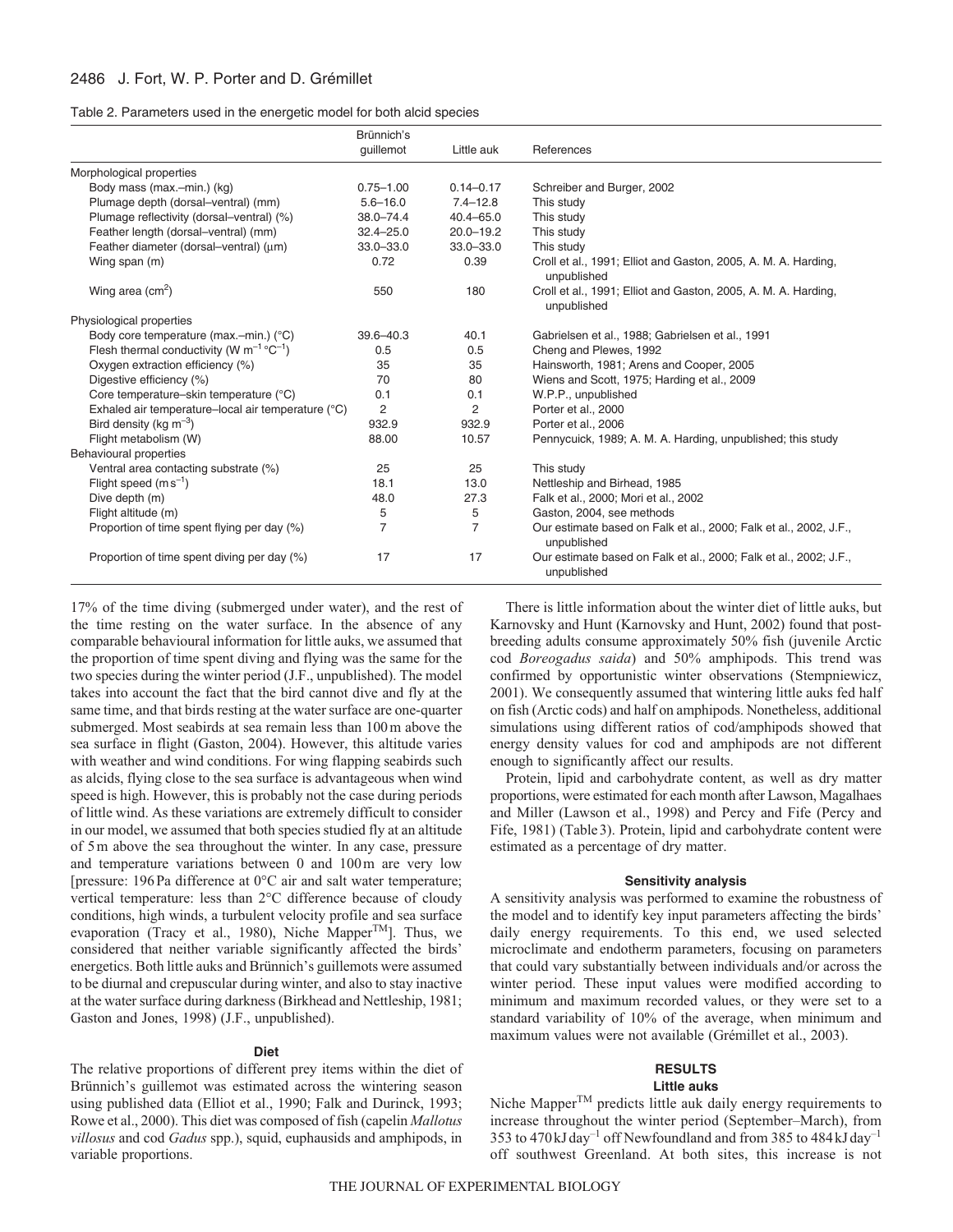| Table 2. Parameters used in the energetic model for both alcid species |  |  |  |
|------------------------------------------------------------------------|--|--|--|
|                                                                        |  |  |  |

|                                                           | Brünnich's     |                |                                                                                  |
|-----------------------------------------------------------|----------------|----------------|----------------------------------------------------------------------------------|
|                                                           | quillemot      | Little auk     | References                                                                       |
| Morphological properties                                  |                |                |                                                                                  |
| Body mass (max.-min.) (kg)                                | $0.75 - 1.00$  | $0.14 - 0.17$  | Schreiber and Burger, 2002                                                       |
| Plumage depth (dorsal-ventral) (mm)                       | $5.6 - 16.0$   | $7.4 - 12.8$   | This study                                                                       |
| Plumage reflectivity (dorsal-ventral) (%)                 | $38.0 - 74.4$  | $40.4 - 65.0$  | This study                                                                       |
| Feather length (dorsal-ventral) (mm)                      | $32.4 - 25.0$  | $20.0 - 19.2$  | This study                                                                       |
| Feather diameter (dorsal-ventral) (um)                    | $33.0 - 33.0$  | $33.0 - 33.0$  | This study                                                                       |
| Wing span (m)                                             | 0.72           | 0.39           | Croll et al., 1991; Elliot and Gaston, 2005, A. M. A. Harding,<br>unpublished    |
| Wing area $\text{(cm}^2)$                                 | 550            | 180            | Croll et al., 1991; Elliot and Gaston, 2005, A. M. A. Harding,<br>unpublished    |
| Physiological properties                                  |                |                |                                                                                  |
| Body core temperature (max.-min.) (°C)                    | $39.6 - 40.3$  | 40.1           | Gabrielsen et al., 1988; Gabrielsen et al., 1991                                 |
| Flesh thermal conductivity (W $m^{-1}$ °C <sup>-1</sup> ) | 0.5            | 0.5            | Cheng and Plewes, 1992                                                           |
| Oxygen extraction efficiency (%)                          | 35             | 35             | Hainsworth, 1981; Arens and Cooper, 2005                                         |
| Digestive efficiency (%)                                  | 70             | 80             | Wiens and Scott, 1975; Harding et al., 2009                                      |
| Core temperature-skin temperature (°C)                    | 0.1            | 0.1            | W.P.P., unpublished                                                              |
| Exhaled air temperature-local air temperature (°C)        | 2              | 2              | Porter et al., 2000                                                              |
| Bird density (kg $\text{m}^{-3}$ )                        | 932.9          | 932.9          | Porter et al., 2006                                                              |
| Flight metabolism (W)                                     | 88.00          | 10.57          | Pennycuick, 1989; A. M. A. Harding, unpublished; this study                      |
| Behavioural properties                                    |                |                |                                                                                  |
| Ventral area contacting substrate (%)                     | 25             | 25             | This study                                                                       |
| Flight speed $(m s^{-1})$                                 | 18.1           | 13.0           | Nettleship and Birhead, 1985                                                     |
| Dive depth (m)                                            | 48.0           | 27.3           | Falk et al., 2000; Mori et al., 2002                                             |
| Flight altitude (m)                                       | 5              | 5              | Gaston, 2004, see methods                                                        |
| Proportion of time spent flying per day (%)               | $\overline{7}$ | $\overline{7}$ | Our estimate based on Falk et al., 2000; Falk et al., 2002, J.F.,<br>unpublished |
| Proportion of time spent diving per day (%)               | 17             | 17             | Our estimate based on Falk et al., 2000; Falk et al., 2002; J.F.,<br>unpublished |

17% of the time diving (submerged under water), and the rest of the time resting on the water surface. In the absence of any comparable behavioural information for little auks, we assumed that the proportion of time spent diving and flying was the same for the two species during the winter period (J.F., unpublished). The model takes into account the fact that the bird cannot dive and fly at the same time, and that birds resting at the water surface are one-quarter submerged. Most seabirds at sea remain less than 100m above the sea surface in flight (Gaston, 2004). However, this altitude varies with weather and wind conditions. For wing flapping seabirds such as alcids, flying close to the sea surface is advantageous when wind speed is high. However, this is probably not the case during periods of little wind. As these variations are extremely difficult to consider in our model, we assumed that both species studied fly at an altitude of 5m above the sea throughout the winter. In any case, pressure and temperature variations between 0 and 100m are very low [pressure: 196Pa difference at 0°C air and salt water temperature; vertical temperature: less than 2°C difference because of cloudy conditions, high winds, a turbulent velocity profile and sea surface evaporation (Tracy et al., 1980), Niche Mapper<sup>TM</sup>]. Thus, we considered that neither variable significantly affected the birds' energetics. Both little auks and Brünnich's guillemots were assumed to be diurnal and crepuscular during winter, and also to stay inactive at the water surface during darkness (Birkhead and Nettleship, 1981; Gaston and Jones, 1998) (J.F., unpublished).

## **Diet**

The relative proportions of different prey items within the diet of Brünnich's guillemot was estimated across the wintering season using published data (Elliot et al., 1990; Falk and Durinck, 1993; Rowe et al., 2000). This diet was composed of fish (capelin *Mallotus villosus* and cod *Gadus* spp.), squid, euphausids and amphipods, in variable proportions.

There is little information about the winter diet of little auks, but Karnovsky and Hunt (Karnovsky and Hunt, 2002) found that postbreeding adults consume approximately 50% fish (juvenile Arctic cod *Boreogadus saida*) and 50% amphipods. This trend was confirmed by opportunistic winter observations (Stempniewicz, 2001). We consequently assumed that wintering little auks fed half on fish (Arctic cods) and half on amphipods. Nonetheless, additional simulations using different ratios of cod/amphipods showed that energy density values for cod and amphipods are not different enough to significantly affect our results.

Protein, lipid and carbohydrate content, as well as dry matter proportions, were estimated for each month after Lawson, Magalhaes and Miller (Lawson et al., 1998) and Percy and Fife (Percy and Fife, 1981) (Table3). Protein, lipid and carbohydrate content were estimated as a percentage of dry matter.

#### **Sensitivity analysis**

A sensitivity analysis was performed to examine the robustness of the model and to identify key input parameters affecting the birds' daily energy requirements. To this end, we used selected microclimate and endotherm parameters, focusing on parameters that could vary substantially between individuals and/or across the winter period. These input values were modified according to minimum and maximum recorded values, or they were set to a standard variability of 10% of the average, when minimum and maximum values were not available (Grémillet et al., 2003).

# **RESULTS**

# **Little auks**

Niche Mapper<sup>TM</sup> predicts little auk daily energy requirements to increase throughout the winter period (September–March), from 353 to 470 kJ day<sup>-1</sup> off Newfoundland and from 385 to 484 kJ day<sup>-1</sup> off southwest Greenland. At both sites, this increase is not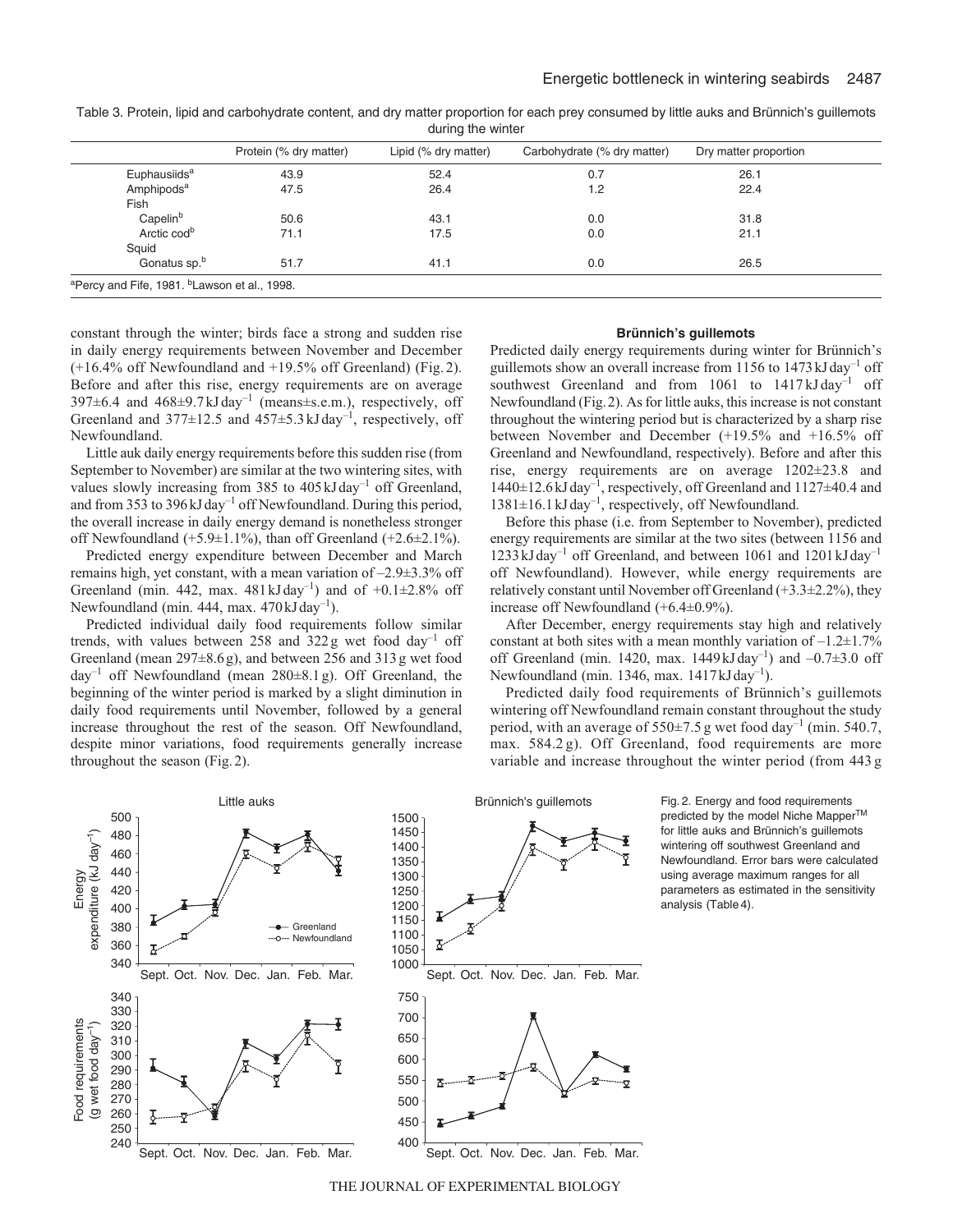|                          | Protein (% dry matter) | Lipid (% dry matter) | Carbohydrate (% dry matter) | Dry matter proportion |
|--------------------------|------------------------|----------------------|-----------------------------|-----------------------|
| Euphausiids <sup>a</sup> | 43.9                   | 52.4                 | 0.7                         | 26.1                  |
| Amphipods <sup>a</sup>   | 47.5                   | 26.4                 | 1.2                         | 22.4                  |
| Fish                     |                        |                      |                             |                       |
| Capelin <sup>b</sup>     | 50.6                   | 43.1                 | 0.0                         | 31.8                  |
| Arctic cod <sup>b</sup>  | 71.1                   | 17.5                 | 0.0                         | 21.1                  |
| Squid                    |                        |                      |                             |                       |
| Gonatus sp.b             | 51.7                   | 41.1                 | 0.0                         | 26.5                  |

Table 3. Protein, lipid and carbohydrate content, and dry matter proportion for each prey consumed by little auks and Brünnich's guillemots during the winter

constant through the winter; birds face a strong and sudden rise in daily energy requirements between November and December (+16.4% off Newfoundland and +19.5% off Greenland) (Fig.2). Before and after this rise, energy requirements are on average 397 $\pm$ 6.4 and 468 $\pm$ 9.7kJday<sup>-1</sup> (means $\pm$ s.e.m.), respectively, off Greenland and  $377\pm12.5$  and  $457\pm5.3$  kJ day<sup>-1</sup>, respectively, off Newfoundland.

Little auk daily energy requirements before this sudden rise (from September to November) are similar at the two wintering sites, with values slowly increasing from 385 to  $405 \text{ kJ day}^{-1}$  off Greenland, and from 353 to 396 kJ day<sup>-1</sup> off Newfoundland. During this period, the overall increase in daily energy demand is nonetheless stronger off Newfoundland (+5.9±1.1%), than off Greenland (+2.6±2.1%).

Predicted energy expenditure between December and March remains high, yet constant, with a mean variation of –2.9±3.3% off Greenland (min. 442, max.  $481 \text{ kJ day}^{-1}$ ) and of  $+0.1 \pm 2.8\%$  off Newfoundland (min. 444, max.  $470 \text{ kJ day}^{-1}$ ).

Predicted individual daily food requirements follow similar trends, with values between  $258$  and  $322g$  wet food day<sup>-1</sup> off Greenland (mean 297±8.6g), and between 256 and 313g wet food day<sup>-1</sup> off Newfoundland (mean  $280\pm8.1$  g). Off Greenland, the beginning of the winter period is marked by a slight diminution in daily food requirements until November, followed by a general increase throughout the rest of the season. Off Newfoundland, despite minor variations, food requirements generally increase throughout the season (Fig.2).

#### **Brünnich's guillemots**

Predicted daily energy requirements during winter for Brünnich's guillemots show an overall increase from 1156 to 1473kJday–1 off southwest Greenland and from 1061 to 1417 kJ day<sup>-1</sup> off Newfoundland (Fig.2). As for little auks, this increase is not constant throughout the wintering period but is characterized by a sharp rise between November and December (+19.5% and +16.5% off Greenland and Newfoundland, respectively). Before and after this rise, energy requirements are on average 1202±23.8 and  $1440\pm12.6$ kJ day<sup>-1</sup>, respectively, off Greenland and  $1127\pm40.4$  and  $1381 \pm 16.1$  kJ day<sup>-1</sup>, respectively, off Newfoundland.

Before this phase (i.e. from September to November), predicted energy requirements are similar at the two sites (between 1156 and 1233kJday–1 off Greenland, and between 1061 and 1201kJday–1 off Newfoundland). However, while energy requirements are relatively constant until November off Greenland (+3.3±2.2%), they increase off Newfoundland (+6.4±0.9%).

After December, energy requirements stay high and relatively constant at both sites with a mean monthly variation of  $-1.2\pm1.7\%$ off Greenland (min. 1420, max. 1449kJday<sup>-1</sup>) and  $-0.7\pm3.0$  off Newfoundland (min. 1346, max.  $1417 \text{ kJ day}^{-1}$ ).

Predicted daily food requirements of Brünnich's guillemots wintering off Newfoundland remain constant throughout the study period, with an average of  $550\pm7.5$  g wet food day<sup>-1</sup> (min. 540.7, max. 584.2 g). Off Greenland, food requirements are more variable and increase throughout the winter period (from 443 g



Fig. 2. Energy and food requirements predicted by the model Niche Mapper™ for little auks and Brünnich's guillemots wintering off southwest Greenland and Newfoundland. Error bars were calculated using average maximum ranges for all parameters as estimated in the sensitivity analysis (Table 4).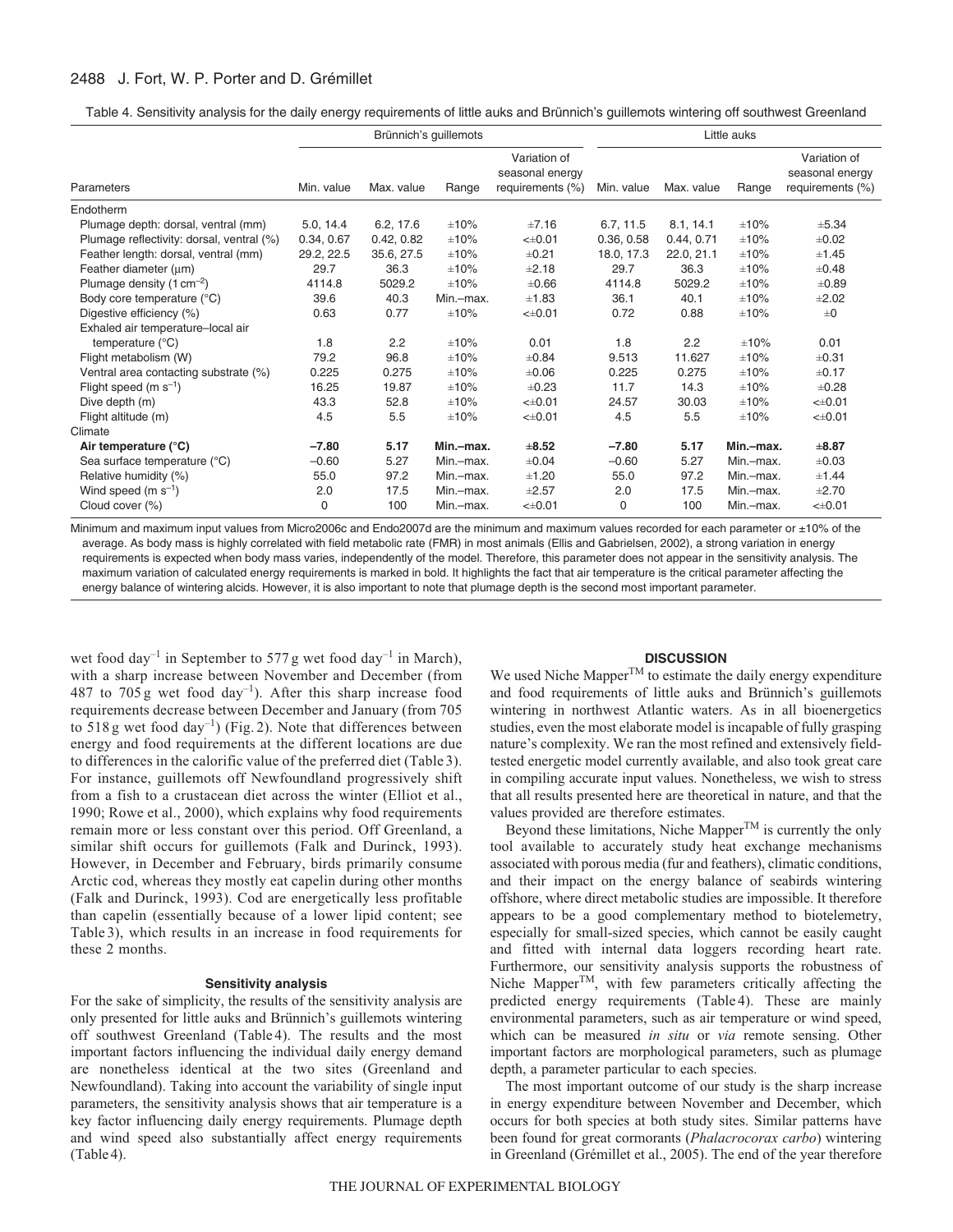## 2488 J. Fort, W. P. Porter and D. Grémillet

Table 4. Sensitivity analysis for the daily energy requirements of little auks and Brünnich's guillemots wintering off southwest Greenland

|                                           |            | Brünnich's guillemots |            | Little auks                                         |            |               |            |                                                     |
|-------------------------------------------|------------|-----------------------|------------|-----------------------------------------------------|------------|---------------|------------|-----------------------------------------------------|
| Parameters                                | Min. value | Max. value            | Range      | Variation of<br>seasonal energy<br>requirements (%) | Min. value | Max. value    | Range      | Variation of<br>seasonal energy<br>requirements (%) |
| Endotherm                                 |            |                       |            |                                                     |            |               |            |                                                     |
| Plumage depth: dorsal, ventral (mm)       | 5.0, 14.4  | 6.2, 17.6             | ±10%       | ±7.16                                               | 6.7, 11.5  | 8.1, 14.1     | ±10%       | $\pm 5.34$                                          |
| Plumage reflectivity: dorsal, ventral (%) | 0.34, 0.67 | 0.42, 0.82            | ±10%       | $< \pm 0.01$                                        | 0.36, 0.58 | 0.44, 0.71    | ±10%       | $\pm 0.02$                                          |
| Feather length: dorsal, ventral (mm)      | 29.2, 22.5 | 35.6, 27.5            | ±10%       | ±0.21                                               | 18.0, 17.3 | 22.0, 21.1    | ±10%       | ±1.45                                               |
| Feather diameter (um)                     | 29.7       | 36.3                  | ±10%       | ±2.18                                               | 29.7       | 36.3          | ±10%       | $\pm 0.48$                                          |
| Plumage density $(1 \text{ cm}^{-2})$     | 4114.8     | 5029.2                | $\pm 10\%$ | $\pm 0.66$                                          | 4114.8     | 5029.2        | $\pm 10\%$ | $\pm 0.89$                                          |
| Body core temperature (°C)                | 39.6       | 40.3                  | Min.-max.  | ±1.83                                               | 36.1       | 40.1          | $\pm 10\%$ | $\pm 2.02$                                          |
| Digestive efficiency (%)                  | 0.63       | 0.77                  | $\pm 10\%$ | $< \pm 0.01$                                        | 0.72       | 0.88          | ±10%       | $\pm 0$                                             |
| Exhaled air temperature-local air         |            |                       |            |                                                     |            |               |            |                                                     |
| temperature $(^{\circ}C)$                 | 1.8        | 2.2                   | $\pm 10\%$ | 0.01                                                | 1.8        | $2.2^{\circ}$ | ±10%       | 0.01                                                |
| Flight metabolism (W)                     | 79.2       | 96.8                  | $\pm 10\%$ | $\pm 0.84$                                          | 9.513      | 11.627        | ±10%       | $\pm 0.31$                                          |
| Ventral area contacting substrate (%)     | 0.225      | 0.275                 | ±10%       | $\pm 0.06$                                          | 0.225      | 0.275         | ±10%       | ±0.17                                               |
| Flight speed (m $s^{-1}$ )                | 16.25      | 19.87                 | $\pm 10\%$ | $\pm 0.23$                                          | 11.7       | 14.3          | $\pm 10\%$ | $\pm 0.28$                                          |
| Dive depth (m)                            | 43.3       | 52.8                  | ±10%       | $< \pm 0.01$                                        | 24.57      | 30.03         | ±10%       | $< \pm 0.01$                                        |
| Flight altitude (m)                       | 4.5        | 5.5                   | ±10%       | $< \pm 0.01$                                        | 4.5        | 5.5           | ±10%       | $< \pm 0.01$                                        |
| Climate                                   |            |                       |            |                                                     |            |               |            |                                                     |
| Air temperature (°C)                      | $-7.80$    | 5.17                  | Min.-max.  | $\pm 8.52$                                          | $-7.80$    | 5.17          | Min.-max.  | $\pm 8.87$                                          |
| Sea surface temperature (°C)              | $-0.60$    | 5.27                  | Min.-max.  | $\pm 0.04$                                          | $-0.60$    | 5.27          | Min.-max.  | $\pm 0.03$                                          |
| Relative humidity (%)                     | 55.0       | 97.2                  | Min.-max.  | ±1.20                                               | 55.0       | 97.2          | Min.-max.  | ±1.44                                               |
| Wind speed $(m s^{-1})$                   | 2.0        | 17.5                  | Min.-max.  | $\pm 2.57$                                          | 2.0        | 17.5          | Min.-max.  | $\pm 2.70$                                          |
| Cloud cover (%)                           | 0          | 100                   | Min.-max.  | $< \pm 0.01$                                        | 0          | 100           | Min.-max.  | $< \pm 0.01$                                        |

Minimum and maximum input values from Micro2006c and Endo2007d are the minimum and maximum values recorded for each parameter or ±10% of the average. As body mass is highly correlated with field metabolic rate (FMR) in most animals (Ellis and Gabrielsen, 2002), a strong variation in energy requirements is expected when body mass varies, independently of the model. Therefore, this parameter does not appear in the sensitivity analysis. The maximum variation of calculated energy requirements is marked in bold. It highlights the fact that air temperature is the critical parameter affecting the energy balance of wintering alcids. However, it is also important to note that plumage depth is the second most important parameter.

wet food day<sup>-1</sup> in September to 577 g wet food day<sup>-1</sup> in March), with a sharp increase between November and December (from 487 to  $705g$  wet food day<sup>-1</sup>). After this sharp increase food requirements decrease between December and January (from 705 to 518 g wet food day<sup>-1</sup>) (Fig. 2). Note that differences between energy and food requirements at the different locations are due to differences in the calorific value of the preferred diet (Table 3). For instance, guillemots off Newfoundland progressively shift from a fish to a crustacean diet across the winter (Elliot et al., 1990; Rowe et al., 2000), which explains why food requirements remain more or less constant over this period. Off Greenland, a similar shift occurs for guillemots (Falk and Durinck, 1993). However, in December and February, birds primarily consume Arctic cod, whereas they mostly eat capelin during other months (Falk and Durinck, 1993). Cod are energetically less profitable than capelin (essentially because of a lower lipid content; see Table 3), which results in an increase in food requirements for these 2 months.

## **Sensitivity analysis**

For the sake of simplicity, the results of the sensitivity analysis are only presented for little auks and Brünnich's guillemots wintering off southwest Greenland (Table 4). The results and the most important factors influencing the individual daily energy demand are nonetheless identical at the two sites (Greenland and Newfoundland). Taking into account the variability of single input parameters, the sensitivity analysis shows that air temperature is a key factor influencing daily energy requirements. Plumage depth and wind speed also substantially affect energy requirements (Table 4).

#### **DISCUSSION**

We used Niche Mapper $T^M$  to estimate the daily energy expenditure and food requirements of little auks and Brünnich's guillemots wintering in northwest Atlantic waters. As in all bioenergetics studies, even the most elaborate model is incapable of fully grasping nature's complexity. We ran the most refined and extensively fieldtested energetic model currently available, and also took great care in compiling accurate input values. Nonetheless, we wish to stress that all results presented here are theoretical in nature, and that the values provided are therefore estimates.

Beyond these limitations, Niche Mapper<sup>TM</sup> is currently the only tool available to accurately study heat exchange mechanisms associated with porous media (fur and feathers), climatic conditions, and their impact on the energy balance of seabirds wintering offshore, where direct metabolic studies are impossible. It therefore appears to be a good complementary method to biotelemetry, especially for small-sized species, which cannot be easily caught and fitted with internal data loggers recording heart rate. Furthermore, our sensitivity analysis supports the robustness of Niche Mapper<sup>TM</sup>, with few parameters critically affecting the predicted energy requirements (Table 4). These are mainly environmental parameters, such as air temperature or wind speed, which can be measured *in situ* or *via* remote sensing. Other important factors are morphological parameters, such as plumage depth, a parameter particular to each species.

The most important outcome of our study is the sharp increase in energy expenditure between November and December, which occurs for both species at both study sites. Similar patterns have been found for great cormorants (*Phalacrocorax carbo*) wintering in Greenland (Grémillet et al., 2005). The end of the year therefore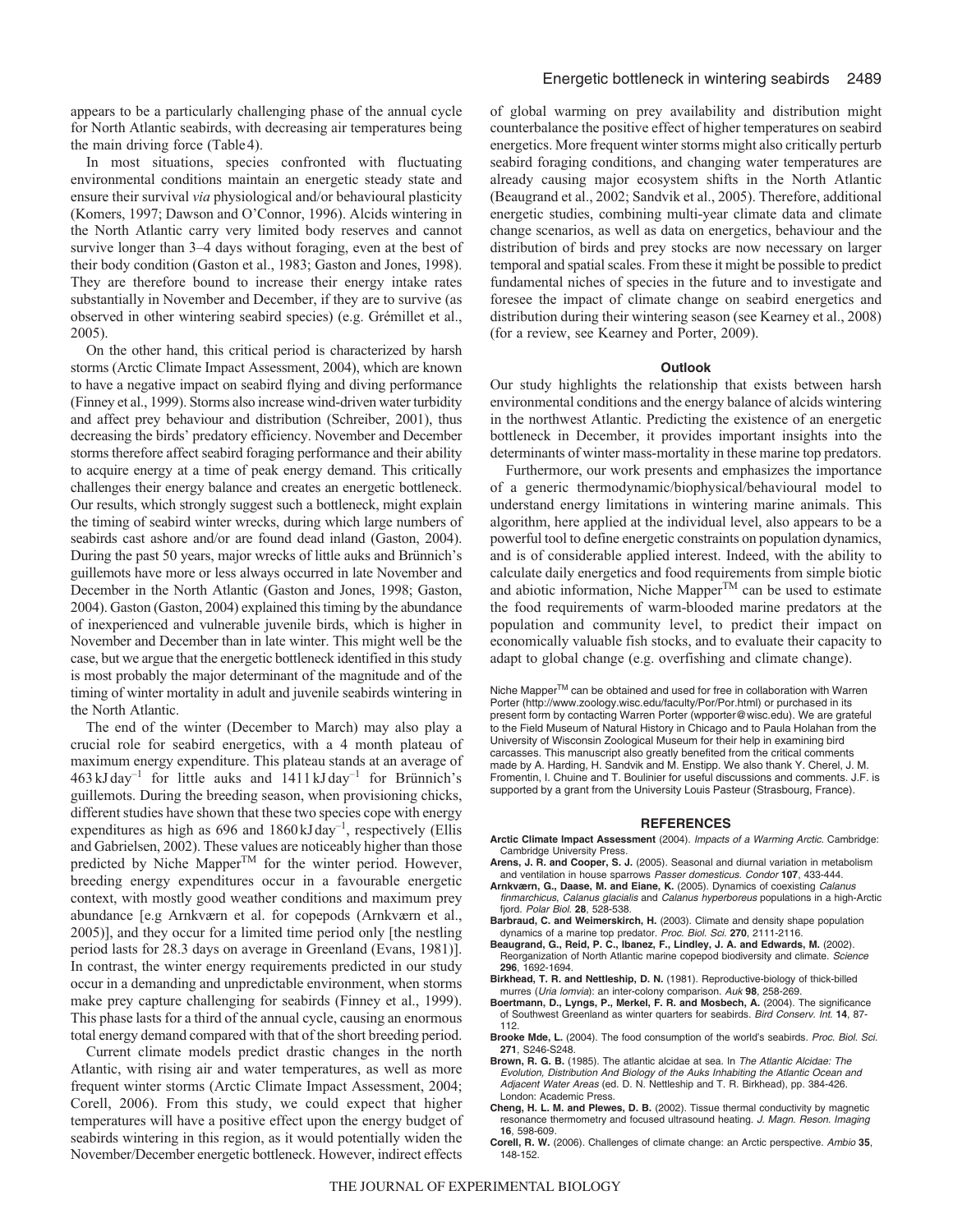In most situations, species confronted with fluctuating environmental conditions maintain an energetic steady state and ensure their survival *via* physiological and/or behavioural plasticity (Komers, 1997; Dawson and O'Connor, 1996). Alcids wintering in the North Atlantic carry very limited body reserves and cannot survive longer than 3–4 days without foraging, even at the best of their body condition (Gaston et al., 1983; Gaston and Jones, 1998). They are therefore bound to increase their energy intake rates substantially in November and December, if they are to survive (as observed in other wintering seabird species) (e.g. Grémillet et al., 2005).

On the other hand, this critical period is characterized by harsh storms (Arctic Climate Impact Assessment, 2004), which are known to have a negative impact on seabird flying and diving performance (Finney et al., 1999). Storms also increase wind-driven water turbidity and affect prey behaviour and distribution (Schreiber, 2001), thus decreasing the birds' predatory efficiency. November and December storms therefore affect seabird foraging performance and their ability to acquire energy at a time of peak energy demand. This critically challenges their energy balance and creates an energetic bottleneck. Our results, which strongly suggest such a bottleneck, might explain the timing of seabird winter wrecks, during which large numbers of seabirds cast ashore and/or are found dead inland (Gaston, 2004). During the past 50 years, major wrecks of little auks and Brünnich's guillemots have more or less always occurred in late November and December in the North Atlantic (Gaston and Jones, 1998; Gaston, 2004). Gaston (Gaston, 2004) explained this timing by the abundance of inexperienced and vulnerable juvenile birds, which is higher in November and December than in late winter. This might well be the case, but we argue that the energetic bottleneck identified in this study is most probably the major determinant of the magnitude and of the timing of winter mortality in adult and juvenile seabirds wintering in the North Atlantic.

The end of the winter (December to March) may also play a crucial role for seabird energetics, with a 4 month plateau of maximum energy expenditure. This plateau stands at an average of  $463$  kJ day<sup>-1</sup> for little auks and  $1411$  kJ day<sup>-1</sup> for Brünnich's guillemots. During the breeding season, when provisioning chicks, different studies have shown that these two species cope with energy expenditures as high as  $696$  and  $1860 \text{ kJ day}^{-1}$ , respectively (Ellis and Gabrielsen, 2002). These values are noticeably higher than those predicted by Niche MapperTM for the winter period. However, breeding energy expenditures occur in a favourable energetic context, with mostly good weather conditions and maximum prey abundance [e.g Arnkværn et al. for copepods (Arnkværn et al., 2005)], and they occur for a limited time period only [the nestling period lasts for 28.3 days on average in Greenland (Evans, 1981)]. In contrast, the winter energy requirements predicted in our study occur in a demanding and unpredictable environment, when storms make prey capture challenging for seabirds (Finney et al., 1999). This phase lasts for a third of the annual cycle, causing an enormous total energy demand compared with that of the short breeding period.

Current climate models predict drastic changes in the north Atlantic, with rising air and water temperatures, as well as more frequent winter storms (Arctic Climate Impact Assessment, 2004; Corell, 2006). From this study, we could expect that higher temperatures will have a positive effect upon the energy budget of seabirds wintering in this region, as it would potentially widen the November/December energetic bottleneck. However, indirect effects

of global warming on prey availability and distribution might counterbalance the positive effect of higher temperatures on seabird energetics. More frequent winter storms might also critically perturb seabird foraging conditions, and changing water temperatures are already causing major ecosystem shifts in the North Atlantic (Beaugrand et al., 2002; Sandvik et al., 2005). Therefore, additional energetic studies, combining multi-year climate data and climate change scenarios, as well as data on energetics, behaviour and the distribution of birds and prey stocks are now necessary on larger temporal and spatial scales. From these it might be possible to predict fundamental niches of species in the future and to investigate and foresee the impact of climate change on seabird energetics and distribution during their wintering season (see Kearney et al., 2008) (for a review, see Kearney and Porter, 2009).

#### **Outlook**

Our study highlights the relationship that exists between harsh environmental conditions and the energy balance of alcids wintering in the northwest Atlantic. Predicting the existence of an energetic bottleneck in December, it provides important insights into the determinants of winter mass-mortality in these marine top predators.

Furthermore, our work presents and emphasizes the importance of a generic thermodynamic/biophysical/behavioural model to understand energy limitations in wintering marine animals. This algorithm, here applied at the individual level, also appears to be a powerful tool to define energetic constraints on population dynamics, and is of considerable applied interest. Indeed, with the ability to calculate daily energetics and food requirements from simple biotic and abiotic information, Niche Mapper<sup>TM</sup> can be used to estimate the food requirements of warm-blooded marine predators at the population and community level, to predict their impact on economically valuable fish stocks, and to evaluate their capacity to adapt to global change (e.g. overfishing and climate change).

Niche Mapper™ can be obtained and used for free in collaboration with Warren Porter (http://www.zoology.wisc.edu/faculty/Por/Por.html) or purchased in its present form by contacting Warren Porter (wpporter@wisc.edu). We are grateful to the Field Museum of Natural History in Chicago and to Paula Holahan from the University of Wisconsin Zoological Museum for their help in examining bird carcasses. This manuscript also greatly benefited from the critical comments made by A. Harding, H. Sandvik and M. Enstipp. We also thank Y. Cherel, J. M. Fromentin, I. Chuine and T. Boulinier for useful discussions and comments. J.F. is supported by a grant from the University Louis Pasteur (Strasbourg, France).

#### **REFERENCES**

- **Arctic Climate Impact Assessment** (2004). Impacts of a Warming Arctic. Cambridge: Cambridge University Press.
- **Arens, J. R. and Cooper, S. J.** (2005). Seasonal and diurnal variation in metabolism and ventilation in house sparrows Passer domesticus. Condor **107**, 433-444.
- **Arnkværn, G., Daase, M. and Eiane, K.** (2005). Dynamics of coexisting Calanus finmarchicus, Calanus glacialis and Calanus hyperboreus populations in a high-Arctic fjord. Polar Biol. **28**, 528-538.
- **Barbraud, C. and Weimerskirch, H.** (2003). Climate and density shape population
- dynamics of a marine top predator. Proc. Biol. Sci. **270**, 2111-2116. **Beaugrand, G., Reid, P. C., Ibanez, F., Lindley, J. A. and Edwards, M.** (2002). Reorganization of North Atlantic marine copepod biodiversity and climate. Science **296**, 1692-1694.
- **Birkhead, T. R. and Nettleship, D. N.** (1981). Reproductive-biology of thick-billed murres (Uria lomvia): an inter-colony comparison. Auk **98**, 258-269.
- **Boertmann, D., Lyngs, P., Merkel, F. R. and Mosbech, A.** (2004). The significance of Southwest Greenland as winter quarters for seabirds. Bird Conserv. Int. **14**, 87- 112.
- **Brooke Mde, L.** (2004). The food consumption of the world's seabirds. Proc. Biol. Sci. **271**, S246-S248.
- **Brown, R. G. B.** (1985). The atlantic alcidae at sea. In The Atlantic Alcidae: The Evolution, Distribution And Biology of the Auks Inhabiting the Atlantic Ocean and Adjacent Water Areas (ed. D. N. Nettleship and T. R. Birkhead), pp. 384-426. London: Academic Press.
- **Cheng, H. L. M. and Plewes, D. B.** (2002). Tissue thermal conductivity by magnetic resonance thermometry and focused ultrasound heating. J. Magn. Reson. Imaging **16**, 598-609.
- **Corell, R. W.** (2006). Challenges of climate change: an Arctic perspective. Ambio **35**, 148-152.